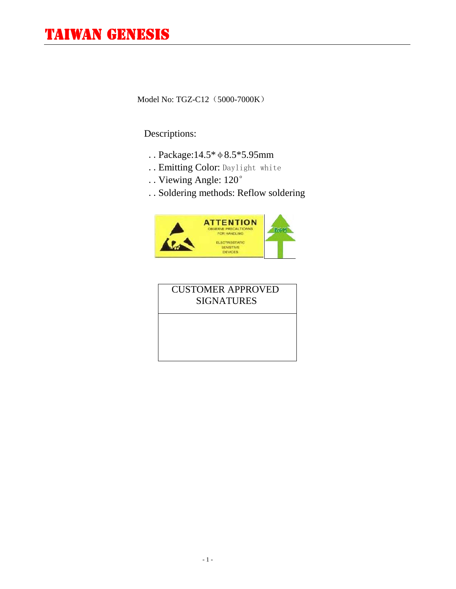Model No: TGZ-C12 (5000-7000K)

## Descriptions:

- ..Package:14.5\*φ8.5\*5.95mm
- ..Emitting Color: Daylight white
- ..Viewing Angle: 120°
- ..Soldering methods: Reflow soldering



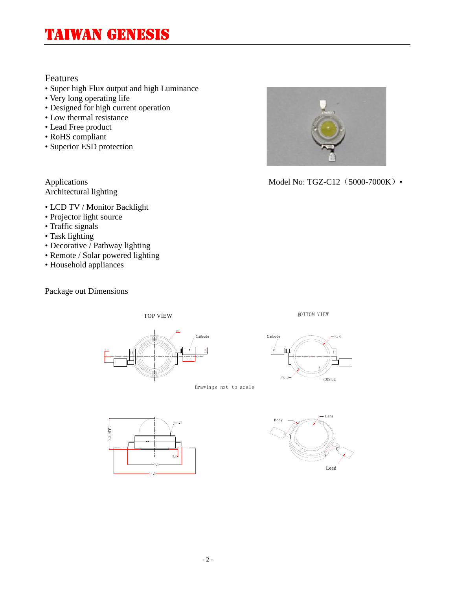### Features

- Super high Flux output and high Luminance
- Very long operating life
- Designed for high current operation
- Low thermal resistance
- Lead Free product
- RoHS compliant
- Superior ESD protection

Architectural lighting

- LCD TV / Monitor Backlight
- Projector light source
- Traffic signals
- Task lighting
- Decorative / Pathway lighting
- Remote / Solar powered lighting
- Household appliances

Package out Dimensions



Applications Model No: TGZ-C12 (5000-7000K) •







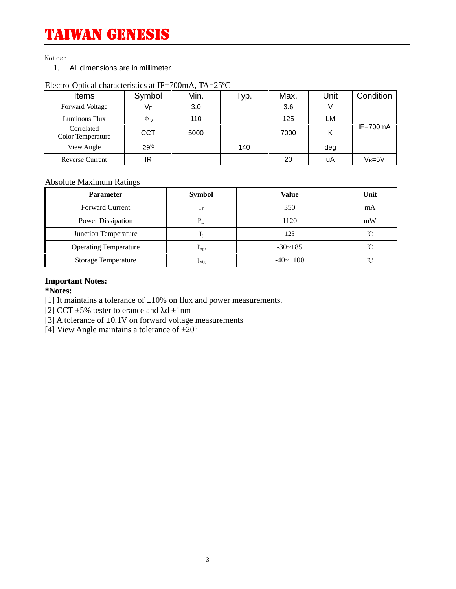Notes:

1. All dimensions are in millimeter.

| <b>Items</b>                    | Symbol     | Min. | 'yp. | Max. | Unit | Condition    |
|---------------------------------|------------|------|------|------|------|--------------|
| <b>Forward Voltage</b>          | $V_F$      | 3.0  |      | 3.6  |      |              |
| Luminous Flux                   | $\Phi$ v   | 110  |      | 125  | LM   |              |
| Correlated<br>Color Temperature | <b>CCT</b> | 5000 |      | 7000 | κ    | $IF = 700mA$ |
| View Angle                      | $2^{1/2}$  |      | 140  |      | deg  |              |
| <b>Reverse Current</b>          | IR         |      |      | 20   | uA   | $V_R = 5V$   |

#### Electro-Optical characteristics at IF=700mA, TA=25ºC

### Absolute Maximum Ratings

| <b>Parameter</b>             | <b>Symbol</b>    | Value        | Unit     |
|------------------------------|------------------|--------------|----------|
| <b>Forward Current</b>       | 1 <sub>F</sub>   | 350          | mA       |
| Power Dissipation            | $P_{D}$          | 1120         | mW       |
| Junction Temperature         |                  | 125          | $\Gamma$ |
| <b>Operating Temperature</b> | $T_{\rm opr}$    | $-30$ $-+85$ | $\gamma$ |
| <b>Storage Temperature</b>   | 1 <sub>stg</sub> | $-40$ ~+100  | $\gamma$ |

### **Important Notes:**

**\*Notes:**

[1] It maintains a tolerance of  $\pm 10\%$  on flux and power measurements.

[2] CCT  $\pm$ 5% tester tolerance and  $\lambda$ d  $\pm$ 1nm

[3] A tolerance of  $\pm 0.1V$  on forward voltage measurements

[4] View Angle maintains a tolerance of  $\pm 20^{\circ}$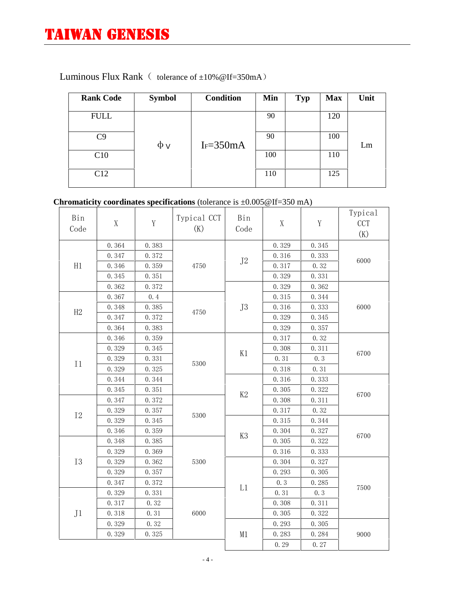| <b>Rank Code</b> | <b>Symbol</b> | <b>Condition</b> | Min | <b>Typ</b> | <b>Max</b> | Unit |
|------------------|---------------|------------------|-----|------------|------------|------|
| <b>FULL</b>      |               |                  | 90  |            | 120        |      |
| C9               |               | $I_F = 350mA$    | 90  |            | 100        | Lm   |
| C10              | $\Phi$ v      |                  | 100 |            | 110        |      |
| C12              |               |                  | 110 |            | 125        |      |
|                  |               |                  |     |            |            |      |

## Luminous Flux Rank ( tolerance of  $\pm 10\%$  @If=350mA)

## **Chromaticity coordinates specifications** (tolerance is ±0.005@If=350 mA)

| Bin<br>Code    | $\mathbf X$ | $\mathbf Y$ | Typical CCT<br>(K)   | Bin<br>Code | $\mathbf X$ | $\mathbf Y$ | Typical<br><b>CCT</b><br>(K) |  |
|----------------|-------------|-------------|----------------------|-------------|-------------|-------------|------------------------------|--|
|                | 0.364       | 0.383       | $\rm J2$<br>4750     |             | 0.329       | 0.345       |                              |  |
|                | 0.347       | 0.372       |                      |             | 0.316       | 0.333       |                              |  |
| H1             | 0.346       | 0.359       |                      |             | 0.317       | 0.32        | 6000                         |  |
|                | 0.345       | 0.351       |                      |             | 0.329       | 0.331       |                              |  |
|                | 0.362       | 0.372       |                      |             | 0.329       | 0.362       |                              |  |
|                | 0.367       | 0.4         |                      |             | 0.315       | 0.344       |                              |  |
|                | 0.348       | 0.385       |                      | J3          | 0.316       | 0.333       | 6000                         |  |
| H2             | 0.347       | 0.372       | 4750                 |             | 0.329       | 0.345       |                              |  |
|                | 0.364       | 0.383       |                      |             | 0.329       | 0.357       |                              |  |
|                | 0.346       | 0.359       |                      |             | 0.317       | 0.32        |                              |  |
|                | 0.329       | 0.345       | 5300                 |             | 0.308       | 0.311       |                              |  |
|                | 0.329       | 0.331       |                      | K1          | 0.31        | 0.3         | 6700                         |  |
| I <sub>1</sub> | 0.329       | 0.325       |                      |             | 0.318       | 0.31        |                              |  |
|                | 0.344       | 0.344       |                      |             | 0.316       | 0.333       |                              |  |
|                | 0.345       | 0.351       |                      |             | 0.305       | 0.322       |                              |  |
|                | 0.347       | 0.372       |                      | K2          | 0.308       | 0.311       | 6700                         |  |
|                | 0.329       | 0.357       |                      |             | 0.317       | 0.32        |                              |  |
| $\rm I2$       | 0.329       | 0.345       | 5300<br>5300<br>6000 |             | 0.315       | 0.344       |                              |  |
|                | 0.346       | 0.359       |                      |             | 0.304       | 0.327       |                              |  |
|                | 0.348       | 0.385       |                      | K3          | 0.305       | 0.322       | 6700                         |  |
|                | 0.329       | 0.369       |                      |             | 0.316       | 0.333       |                              |  |
| <b>I3</b>      | 0.329       | 0.362       |                      |             |             | 0.304       | 0.327                        |  |
|                | 0.329       | 0.357       |                      |             | 0.293       | 0.305       |                              |  |
|                | 0.347       | 0.372       |                      |             | 0.3         | 0.285       |                              |  |
|                | 0.329       | 0.331       |                      | L1          | 0.31        | 0.3         | 7500                         |  |
|                | 0.317       | 0.32        |                      |             | 0.308       | 0.311       |                              |  |
| J <sub>1</sub> | 0.318       | 0.31        |                      |             | 0.305       | 0.322       |                              |  |
|                | 0.329       | 0.32        |                      |             | 0.293       | 0.305       |                              |  |
|                | 0.329       | 0.325       |                      | M1          | 0.283       | 0.284       | 9000                         |  |
|                |             |             |                      |             | 0.29        | 0.27        |                              |  |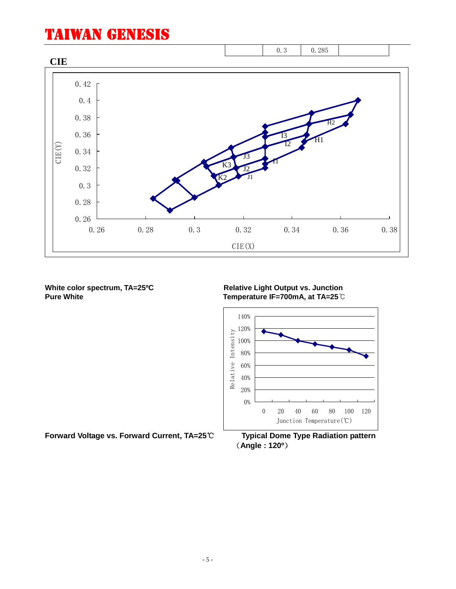

**White color spectrum, TA=25℃**<br>Pure White **Relative Light Output vs. Junction**<br>Temperature IF=700mA. at TA=25℃ **Pure White Temperature IF=700mA, at TA=25**℃



**Forward Voltage vs. Forward Current, TA=25℃ Typical Dome Type Radiation pattern**

**(Angle : 120º)**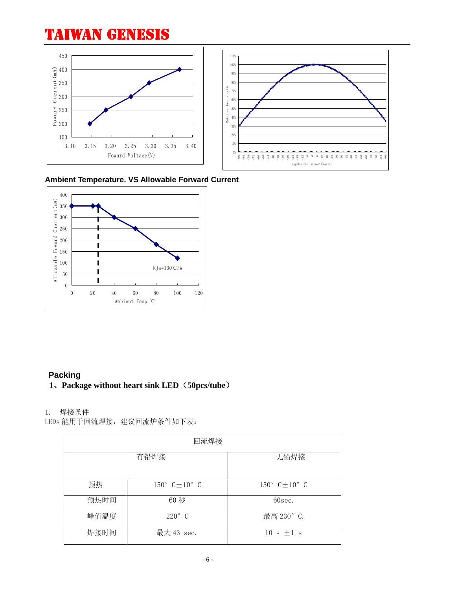



**Ambient Temperature. VS Allowable Forward Current**



## **Packing**

### **1、Package without heart sink LED(50pcs/tube)**

### 1. 焊接条件

LEDs 能用于回流焊接,建议回流炉条件如下表:

| 回流焊接 |                                    |                                    |  |  |  |
|------|------------------------------------|------------------------------------|--|--|--|
|      | 有铅焊接                               | 无铅焊接                               |  |  |  |
| 预热   | $150^{\circ}$ C $\pm 10^{\circ}$ C | $150^{\circ}$ C $\pm 10^{\circ}$ C |  |  |  |
| 预热时间 | 60秒                                | 60sec.                             |  |  |  |
| 峰值温度 | $220^\circ$ C                      | 最高 230° C.                         |  |  |  |
| 焊接时间 | 最大 43 sec.                         | $10 s \pm 1 s$                     |  |  |  |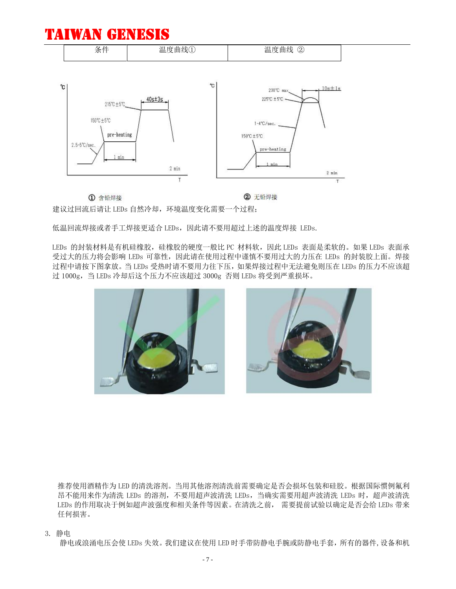

建议过回流后请让 LEDs 自然冷却,环境温度变化需要一个过程;

低温回流焊接或者手工焊接更适合 LEDs, 因此请不要用超过上述的温度焊接 LEDs.

LEDs 的封装材料是有机硅橡胶,硅橡胶的硬度一般比 PC 材料软, 因此 LEDs 表面是柔软的。如果 LEDs 表面承 受过大的压力将会影响 LEDs 可靠性,因此请在使用过程中谨慎不要用过大的力压在 LEDs 的封装胶上面。焊接 过程中请按下图拿放。当 LEDs 受热时请不要用力往下压,如果焊接过程中无法避免则压在 LEDs 的压力不应该超 过 1000g,当 LEDs 冷却后这个压力不应该超过 3000g 否则 LEDs 将受到严重损坏。



推荐使用酒精作为 LED 的清洗溶剂。当用其他溶剂清洗前需要确定是否会损坏包装和硅胶。根据国际惯例氟利 昂不能用来作为清洗 LEDs 的溶剂,不要用超声波清洗 LEDs, 当确实需要用超声波清洗 LEDs 时,超声波清洗 LEDs 的作用取决于例如超声波强度和相关条件等因素。在清洗之前, 需要提前试验以确定是否会给 LEDs 带来 任何损害。

3. 静电

静电或浪涌电压会使 LEDs 失效。我们建议在使用 LED 时手带防静电手腕或防静电手套,所有的器件,设备和机